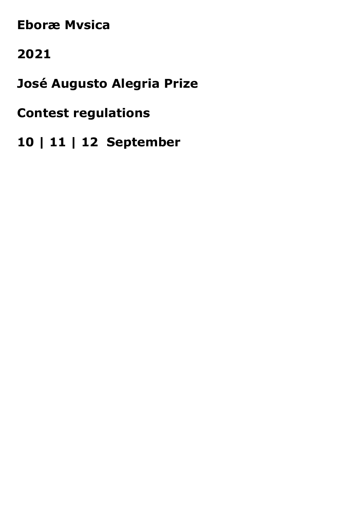# **Eboræ Mvsica**

# 2021

José Augusto Alegria Prize

# **Contest regulations**

10 | 11 | 12 September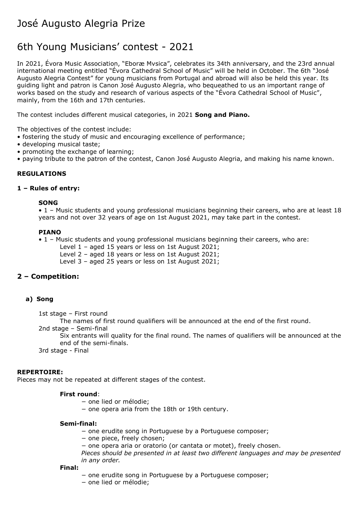# José Augusto Alegria Prize

# 6th Young Musicians' contest - 2021

In 2021, Évora Music Association, "Eboræ Mvsica", celebrates its 34th anniversary, and the 23rd annual international meeting entitled "Évora Cathedral School of Music" will be held in October. The 6th "José Augusto Alegria Contest" for young musicians from Portugal and abroad will also be held this year. Its guiding light and patron is Canon José Augusto Alegria, who bequeathed to us an important range of works based on the study and research of various aspects of the "Évora Cathedral School of Music", mainly, from the 16th and 17th centuries.

The contest includes different musical categories, in 2021 **Song and Piano.**

The objectives of the contest include:

- fostering the study of music and encouraging excellence of performance;
- developing musical taste;
- promoting the exchange of learning;
- paying tribute to the patron of the contest, Canon José Augusto Alegria, and making his name known.

### **REGULATIONS**

## **1 – Rules of entry:**

#### **SONG**

• 1 – Music students and young professional musicians beginning their careers, who are at least 18 years and not over 32 years of age on 1st August 2021, may take part in the contest.

#### **PIANO**

• 1 – Music students and young professional musicians beginning their careers, who are:

Level 1 – aged 15 years or less on 1st August 2021;

Level 2 – aged 18 years or less on 1st August 2021;

Level 3 – aged 25 years or less on 1st August 2021;

# **2 – Competition:**

#### **a) Song**

1st stage – First round

The names of first round qualifiers will be announced at the end of the first round.

2nd stage – Semi-final

Six entrants will quality for the final round. The names of qualifiers will be announced at the end of the semi-finals.

3rd stage - Final

#### **REPERTOIRE:**

Pieces may not be repeated at different stages of the contest.

#### **First round**:

- − one lied or mélodie;
- − one opera aria from the 18th or 19th century.

#### **Semi-final:**

- − one erudite song in Portuguese by a Portuguese composer;
- − one piece, freely chosen;
- − one opera aria or oratorio (or cantata or motet), freely chosen.
- *Pieces should be presented in at least two different languages and may be presented in any order.*

#### **Final:**

- − one erudite song in Portuguese by a Portuguese composer;
- − one lied or mélodie;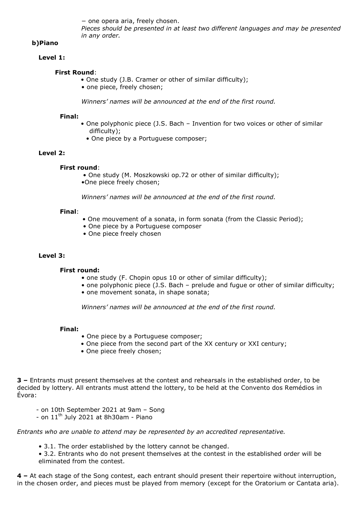− one opera aria, freely chosen. *Pieces should be presented in at least two different languages and may be presented in any order.*

# **b)Piano**

#### **Level 1:**

### **First Round**:

- One study (J.B. Cramer or other of similar difficulty);
- one piece, freely chosen;

*Winners' names will be announced at the end of the first round.*

#### **Final:**

- One polyphonic piece (J.S. Bach Invention for two voices or other of similar difficulty);
	- One piece by a Portuguese composer;

### **Level 2:**

#### **First round**:

- One study (M. Moszkowski op.72 or other of similar difficulty);
- •One piece freely chosen;

*Winners' names will be announced at the end of the first round.*

#### **Final**:

- One mouvement of a sonata, in form sonata (from the Classic Period);
- One piece by a Portuguese composer
- One piece freely chosen

#### **Level 3:**

#### **First round:**

- one study (F. Chopin opus 10 or other of similar difficulty);
- one polyphonic piece (J.S. Bach prelude and fugue or other of similar difficulty;
- one movement sonata, in shape sonata;

*Winners' names will be announced at the end of the first round.*

#### **Final:**

- One piece by a Portuguese composer;
- One piece from the second part of the XX century or XXI century;
- One piece freely chosen;

**3 –** Entrants must present themselves at the contest and rehearsals in the established order, to be decided by lottery. All entrants must attend the lottery, to be held at the Convento dos Remédios in Évora:

- on 10th September 2021 at 9am Song
- on 11<sup>th</sup> July 2021 at 8h30am Piano

# *Entrants who are unable to attend may be represented by an accredited representative.*

• 3.1. The order established by the lottery cannot be changed.

• 3.2. Entrants who do not present themselves at the contest in the established order will be eliminated from the contest.

**4 –** At each stage of the Song contest, each entrant should present their repertoire without interruption, in the chosen order, and pieces must be played from memory (except for the Oratorium or Cantata aria).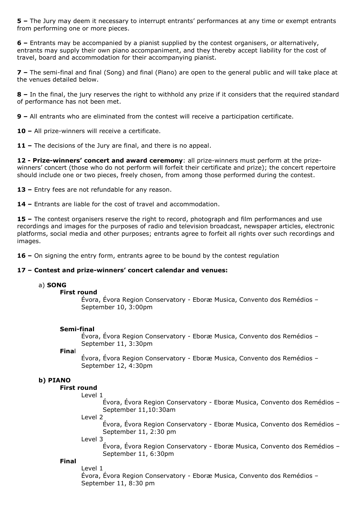**5 –** The Jury may deem it necessary to interrupt entrants' performances at any time or exempt entrants from performing one or more pieces.

**6 –** Entrants may be accompanied by a pianist supplied by the contest organisers, or alternatively, entrants may supply their own piano accompaniment, and they thereby accept liability for the cost of travel, board and accommodation for their accompanying pianist.

**7 –** The semi-final and final (Song) and final (Piano) are open to the general public and will take place at the venues detailed below.

**8 –** In the final, the jury reserves the right to withhold any prize if it considers that the required standard of performance has not been met.

**9 –** All entrants who are eliminated from the contest will receive a participation certificate.

**10 –** All prize-winners will receive a certificate.

**11 –** The decisions of the Jury are final, and there is no appeal.

**12 - Prize-winners' concert and award ceremony**: all prize-winners must perform at the prizewinners' concert (those who do not perform will forfeit their certificate and prize); the concert repertoire should include one or two pieces, freely chosen, from among those performed during the contest.

**13 –** Entry fees are not refundable for any reason.

**14 –** Entrants are liable for the cost of travel and accommodation.

**15 –** The contest organisers reserve the right to record, photograph and film performances and use recordings and images for the purposes of radio and television broadcast, newspaper articles, electronic platforms, social media and other purposes; entrants agree to forfeit all rights over such recordings and images.

**16 –** On signing the entry form, entrants agree to be bound by the contest regulation

#### **17 – Contest and prize-winners' concert calendar and venues:**

#### a) **SONG**

#### **First round**

Évora, Évora Region Conservatory - Eboræ Musica, Convento dos Remédios – September 10, 3:00pm

#### **Semi-final**

Évora, Évora Region Conservatory - Eboræ Musica, Convento dos Remédios – September 11, 3:30pm

**Fina**l

Évora, Évora Region Conservatory - Eboræ Musica, Convento dos Remédios – September 12, 4:30pm

#### **b) PIANO**

#### **First round**

Level 1

Évora, Évora Region Conservatory - Eboræ Musica, Convento dos Remédios – September 11,10:30am

Level 2

Évora, Évora Region Conservatory - Eboræ Musica, Convento dos Remédios – September 11, 2:30 pm

Level 3

Évora, Évora Region Conservatory - Eboræ Musica, Convento dos Remédios – September 11, 6:30pm

#### **Final**

Level 1 Évora, Évora Region Conservatory - Eboræ Musica, Convento dos Remédios – September 11, 8:30 pm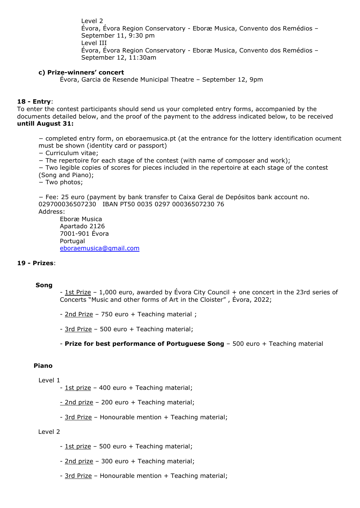Level 2 Évora, Évora Region Conservatory - Eboræ Musica, Convento dos Remédios – September 11, 9:30 pm Level III Évora, Évora Region Conservatory - Eboræ Musica, Convento dos Remédios – September 12, 11:30am

#### **c) Prize-winners' concert**

Évora, Garcia de Resende Municipal Theatre – September 12, 9pm

#### **18 - Entry**:

To enter the contest participants should send us your completed entry forms, accompanied by the documents detailed below, and the proof of the payment to the address indicated below, to be received **untill August 31:**

− completed entry form, on eboraemusica.pt (at the entrance for the lottery identification ocument must be shown (identity card or passport)

− Curriculum vitae;

− The repertoire for each stage of the contest (with name of composer and work);

− Two legible copies of scores for pieces included in the repertoire at each stage of the contest (Song and Piano);

− Two photos;

− Fee: 25 euro (payment by bank transfer to Caixa Geral de Depósitos bank account no. 029700036507230 IBAN PT50 0035 0297 00036507230 76 Address:

Eboræ Musica Apartado 2126 7001-901 Évora Portugal [eboraemusica@gmail.com](mailto:eboraemusica@gmail.com)

#### **19 - Prizes**:

#### **Song**

- 1st Prize – 1,000 euro, awarded by Évora City Council + one concert in the 23rd series of Concerts "Music and other forms of Art in the Cloister" , Évora, 2022;

- 2nd Prize – 750 euro + Teaching material ;

- 3rd Prize – 500 euro + Teaching material;

- **Prize for best performance of Portuguese Song** – 500 euro + Teaching material

#### **Piano**

Level 1

- 1st prize – 400 euro + Teaching material;

- 2nd prize - 200 euro + Teaching material;

- 3rd Prize - Honourable mention + Teaching material;

#### Level 2

- 1st prize 500 euro + Teaching material;
- 2nd prize 300 euro + Teaching material;
- 3rd Prize Honourable mention + Teaching material;